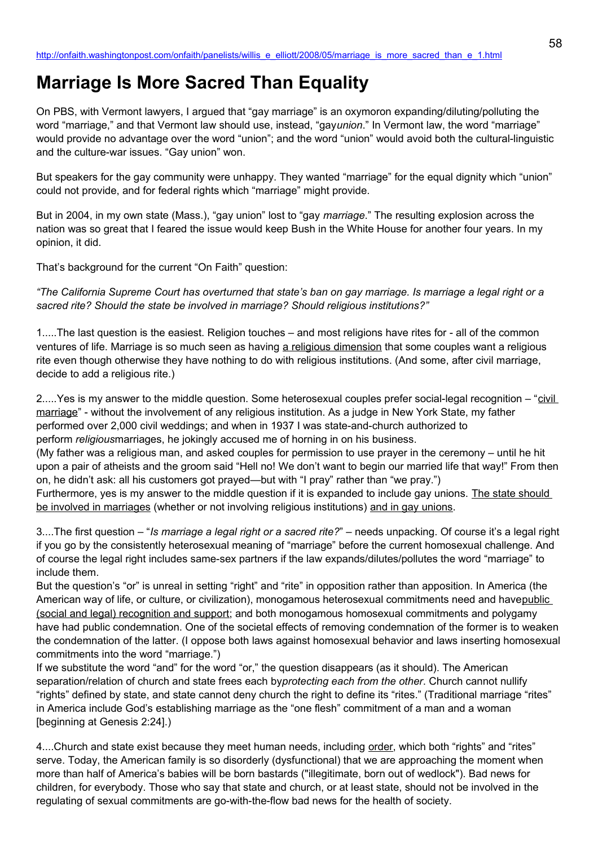## **Marriage Is More Sacred Than Equality**

On PBS, with Vermont lawyers, I argued that "gay marriage" is an oxymoron expanding/diluting/polluting the word "marriage," and that Vermont law should use, instead, "gay*union*." In Vermont law, the word "marriage" would provide no advantage over the word "union"; and the word "union" would avoid both the cultural-linguistic and the culture-war issues. "Gay union" won.

But speakers for the gay community were unhappy. They wanted "marriage" for the equal dignity which "union" could not provide, and for federal rights which "marriage" might provide.

But in 2004, in my own state (Mass.), "gay union" lost to "gay *marriage*." The resulting explosion across the nation was so great that I feared the issue would keep Bush in the White House for another four years. In my opinion, it did.

That's background for the current "On Faith" question:

*"The California Supreme Court has overturned that state's ban on gay marriage. Is marriage a legal right or a sacred rite? Should the state be involved in marriage? Should religious institutions?"*

1.....The last question is the easiest. Religion touches – and most religions have rites for - all of the common ventures of life. Marriage is so much seen as having a religious dimension that some couples want a religious rite even though otherwise they have nothing to do with religious institutions. (And some, after civil marriage, decide to add a religious rite.)

2.....Yes is my answer to the middle question. Some heterosexual couples prefer social-legal recognition – "civil marriage" - without the involvement of any religious institution. As a judge in New York State, my father performed over 2,000 civil weddings; and when in 1937 I was state-and-church authorized to perform *religious*marriages, he jokingly accused me of horning in on his business. (My father was a religious man, and asked couples for permission to use prayer in the ceremony – until he hit upon a pair of atheists and the groom said "Hell no! We don't want to begin our married life that way!" From then on, he didn't ask: all his customers got prayed—but with "I pray" rather than "we pray.") Furthermore, yes is my answer to the middle question if it is expanded to include gay unions. The state should be involved in marriages (whether or not involving religious institutions) and in gay unions.

3....The first question – "*Is marriage a legal right or a sacred rite?*" – needs unpacking. Of course it's a legal right if you go by the consistently heterosexual meaning of "marriage" before the current homosexual challenge. And of course the legal right includes same-sex partners if the law expands/dilutes/pollutes the word "marriage" to include them.

But the question's "or" is unreal in setting "right" and "rite" in opposition rather than apposition. In America (the American way of life, or culture, or civilization), monogamous heterosexual commitments need and havepublic (social and legal) recognition and support; and both monogamous homosexual commitments and polygamy have had public condemnation. One of the societal effects of removing condemnation of the former is to weaken the condemnation of the latter. (I oppose both laws against homosexual behavior and laws inserting homosexual commitments into the word "marriage.")

If we substitute the word "and" for the word "or," the question disappears (as it should). The American separation/relation of church and state frees each by*protecting each from the other*. Church cannot nullify "rights" defined by state, and state cannot deny church the right to define its "rites." (Traditional marriage "rites" in America include God's establishing marriage as the "one flesh" commitment of a man and a woman [beginning at Genesis 2:24].)

4....Church and state exist because they meet human needs, including order, which both "rights" and "rites" serve. Today, the American family is so disorderly (dysfunctional) that we are approaching the moment when more than half of America's babies will be born bastards ("illegitimate, born out of wedlock"). Bad news for children, for everybody. Those who say that state and church, or at least state, should not be involved in the regulating of sexual commitments are go-with-the-flow bad news for the health of society.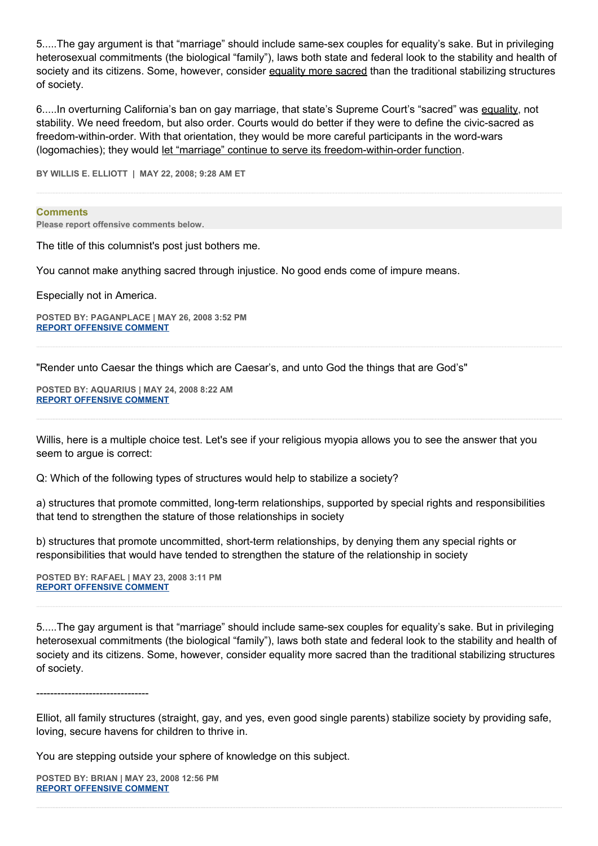5.....The gay argument is that "marriage" should include same-sex couples for equality's sake. But in privileging heterosexual commitments (the biological "family"), laws both state and federal look to the stability and health of society and its citizens. Some, however, consider equality more sacred than the traditional stabilizing structures of society.

6.....In overturning California's ban on gay marriage, that state's Supreme Court's "sacred" was equality, not stability. We need freedom, but also order. Courts would do better if they were to define the civic-sacred as freedom-within-order. With that orientation, they would be more careful participants in the word-wars (logomachies); they would let "marriage" continue to serve its freedom-within-order function.

**BY WILLIS E. ELLIOTT | MAY 22, 2008; 9:28 AM ET** 

## **Comments**

**Please report offensive comments below.**

The title of this columnist's post just bothers me.

You cannot make anything sacred through injustice. No good ends come of impure means.

Especially not in America.

**POSTED BY: PAGANPLACE | MAY 26, 2008 3:52 PM [REPORT OFFENSIVE COMMENT](mailto:blogs@washingtonpost.com?subject=On%20Faith%20Panelists%20Blog%20%20%7C%20%20Paganplace%20%20%7C%20%20Marriage%20Is%20More%20Sacred%20Than%20Equality%20%20%7C%20%203608299&body=%0D%0D%0D%0D%0D================%0D?__mode=view%26_type=comment%26id=3608299%26blog_id=618)**

"Render unto Caesar the things which are Caesar's, and unto God the things that are God's"

**POSTED BY: AQUARIUS | MAY 24, 2008 8:22 AM [REPORT OFFENSIVE COMMENT](mailto:blogs@washingtonpost.com?subject=On%20Faith%20Panelists%20Blog%20%20%7C%20%20Aquarius%20%20%7C%20%20Marriage%20Is%20More%20Sacred%20Than%20Equality%20%20%7C%20%203585211&body=%0D%0D%0D%0D%0D================%0D?__mode=view%26_type=comment%26id=3585211%26blog_id=618)**

Willis, here is a multiple choice test. Let's see if your religious myopia allows you to see the answer that you seem to argue is correct:

Q: Which of the following types of structures would help to stabilize a society?

a) structures that promote committed, long-term relationships, supported by special rights and responsibilities that tend to strengthen the stature of those relationships in society

b) structures that promote uncommitted, short-term relationships, by denying them any special rights or responsibilities that would have tended to strengthen the stature of the relationship in society

**POSTED BY: RAFAEL | MAY 23, 2008 3:11 PM [REPORT OFFENSIVE COMMENT](mailto:blogs@washingtonpost.com?subject=On%20Faith%20Panelists%20Blog%20%20%7C%20%20rafael%20%20%7C%20%20Marriage%20Is%20More%20Sacred%20Than%20Equality%20%20%7C%20%203578185&body=%0D%0D%0D%0D%0D================%0D?__mode=view%26_type=comment%26id=3578185%26blog_id=618)**

5.....The gay argument is that "marriage" should include same-sex couples for equality's sake. But in privileging heterosexual commitments (the biological "family"), laws both state and federal look to the stability and health of society and its citizens. Some, however, consider equality more sacred than the traditional stabilizing structures of society.

--------------------------------

Elliot, all family structures (straight, gay, and yes, even good single parents) stabilize society by providing safe, loving, secure havens for children to thrive in.

You are stepping outside your sphere of knowledge on this subject.

**POSTED BY: BRIAN | MAY 23, 2008 12:56 PM [REPORT OFFENSIVE COMMENT](mailto:blogs@washingtonpost.com?subject=On%20Faith%20Panelists%20Blog%20%20%7C%20%20Brian%20%20%7C%20%20Marriage%20Is%20More%20Sacred%20Than%20Equality%20%20%7C%20%203577152&body=%0D%0D%0D%0D%0D================%0D?__mode=view%26_type=comment%26id=3577152%26blog_id=618)**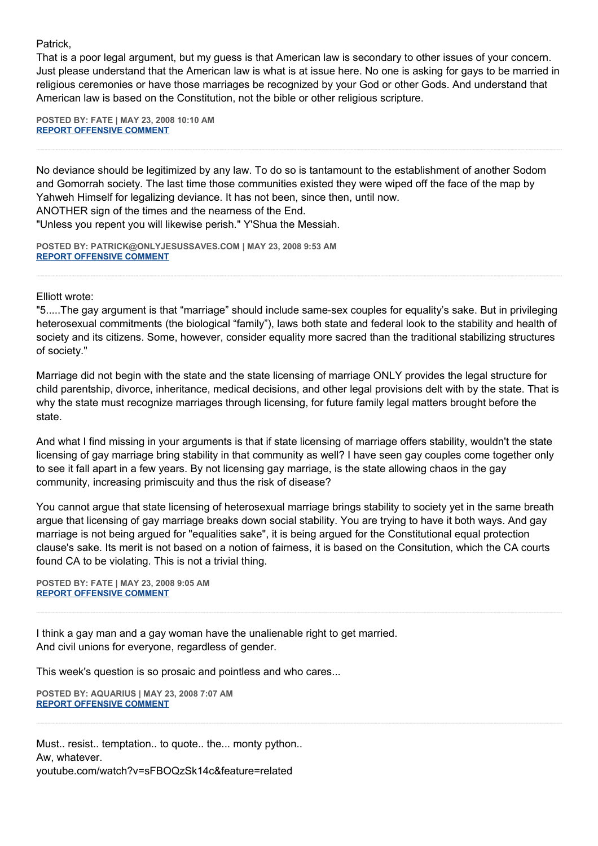Patrick,

That is a poor legal argument, but my guess is that American law is secondary to other issues of your concern. Just please understand that the American law is what is at issue here. No one is asking for gays to be married in religious ceremonies or have those marriages be recognized by your God or other Gods. And understand that American law is based on the Constitution, not the bible or other religious scripture.

**POSTED BY: FATE | MAY 23, 2008 10:10 AM [REPORT OFFENSIVE COMMENT](mailto:blogs@washingtonpost.com?subject=On%20Faith%20Panelists%20Blog%20%20%7C%20%20Fate%20%20%7C%20%20Marriage%20Is%20More%20Sacred%20Than%20Equality%20%20%7C%20%203575929&body=%0D%0D%0D%0D%0D================%0D?__mode=view%26_type=comment%26id=3575929%26blog_id=618)**

No deviance should be legitimized by any law. To do so is tantamount to the establishment of another Sodom and Gomorrah society. The last time those communities existed they were wiped off the face of the map by Yahweh Himself for legalizing deviance. It has not been, since then, until now.

ANOTHER sign of the times and the nearness of the End.

"Unless you repent you will likewise perish." Y'Shua the Messiah.

**POSTED BY: PATRICK@ONLYJESUSSAVES.COM | MAY 23, 2008 9:53 AM [REPORT OFFENSIVE COMMENT](mailto:blogs@washingtonpost.com?subject=On%20Faith%20Panelists%20Blog%20%20%7C%20%20patrick@onlyjesussaves.com%20%20%7C%20%20Marriage%20Is%20More%20Sacred%20Than%20Equality%20%20%7C%20%203575802&body=%0D%0D%0D%0D%0D================%0D?__mode=view%26_type=comment%26id=3575802%26blog_id=618)**

Elliott wrote:

"5.....The gay argument is that "marriage" should include same-sex couples for equality's sake. But in privileging heterosexual commitments (the biological "family"), laws both state and federal look to the stability and health of society and its citizens. Some, however, consider equality more sacred than the traditional stabilizing structures of society."

Marriage did not begin with the state and the state licensing of marriage ONLY provides the legal structure for child parentship, divorce, inheritance, medical decisions, and other legal provisions delt with by the state. That is why the state must recognize marriages through licensing, for future family legal matters brought before the state.

And what I find missing in your arguments is that if state licensing of marriage offers stability, wouldn't the state licensing of gay marriage bring stability in that community as well? I have seen gay couples come together only to see it fall apart in a few years. By not licensing gay marriage, is the state allowing chaos in the gay community, increasing primiscuity and thus the risk of disease?

You cannot argue that state licensing of heterosexual marriage brings stability to society yet in the same breath argue that licensing of gay marriage breaks down social stability. You are trying to have it both ways. And gay marriage is not being argued for "equalities sake", it is being argued for the Constitutional equal protection clause's sake. Its merit is not based on a notion of fairness, it is based on the Consitution, which the CA courts found CA to be violating. This is not a trivial thing.

**POSTED BY: FATE | MAY 23, 2008 9:05 AM [REPORT OFFENSIVE COMMENT](mailto:blogs@washingtonpost.com?subject=On%20Faith%20Panelists%20Blog%20%20%7C%20%20Fate%20%20%7C%20%20Marriage%20Is%20More%20Sacred%20Than%20Equality%20%20%7C%20%203575413&body=%0D%0D%0D%0D%0D================%0D?__mode=view%26_type=comment%26id=3575413%26blog_id=618)**

I think a gay man and a gay woman have the unalienable right to get married. And civil unions for everyone, regardless of gender.

This week's question is so prosaic and pointless and who cares...

**POSTED BY: AQUARIUS | MAY 23, 2008 7:07 AM [REPORT OFFENSIVE COMMENT](mailto:blogs@washingtonpost.com?subject=On%20Faith%20Panelists%20Blog%20%20%7C%20%20Aquarius%20%20%7C%20%20Marriage%20Is%20More%20Sacred%20Than%20Equality%20%20%7C%20%203574488&body=%0D%0D%0D%0D%0D================%0D?__mode=view%26_type=comment%26id=3574488%26blog_id=618)**

Must.. resist.. temptation.. to quote.. the... monty python.. Aw, whatever. youtube.com/watch?v=sFBOQzSk14c&feature=related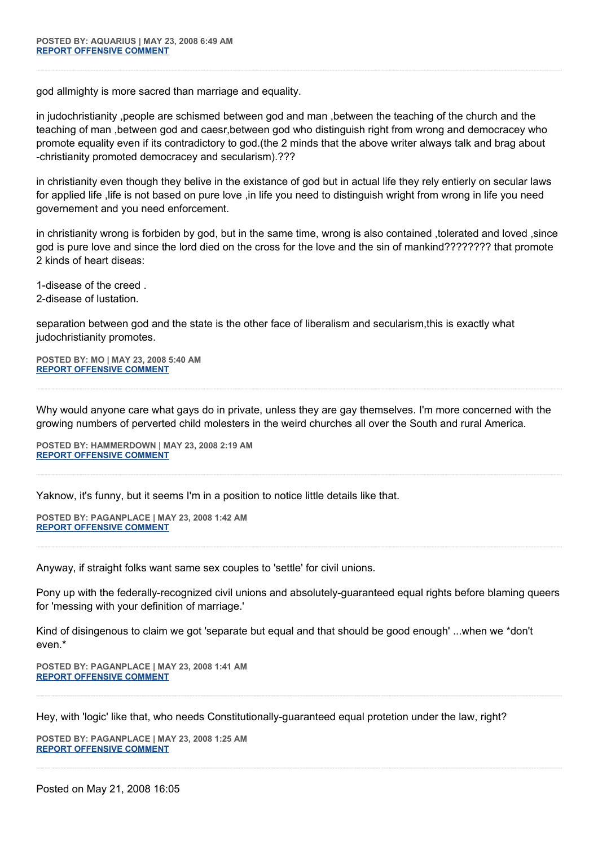god allmighty is more sacred than marriage and equality.

in judochristianity ,people are schismed between god and man ,between the teaching of the church and the teaching of man ,between god and caesr,between god who distinguish right from wrong and democracey who promote equality even if its contradictory to god.(the 2 minds that the above writer always talk and brag about -christianity promoted democracey and secularism).???

in christianity even though they belive in the existance of god but in actual life they rely entierly on secular laws for applied life ,life is not based on pure love ,in life you need to distinguish wright from wrong in life you need governement and you need enforcement.

in christianity wrong is forbiden by god, but in the same time, wrong is also contained ,tolerated and loved ,since god is pure love and since the lord died on the cross for the love and the sin of mankind????????? that promote 2 kinds of heart diseas:

1-disease of the creed . 2-disease of lustation.

separation between god and the state is the other face of liberalism and secularism,this is exactly what judochristianity promotes.

**POSTED BY: MO | MAY 23, 2008 5:40 AM [REPORT OFFENSIVE COMMENT](mailto:blogs@washingtonpost.com?subject=On%20Faith%20Panelists%20Blog%20%20%7C%20%20mo%20%20%7C%20%20Marriage%20Is%20More%20Sacred%20Than%20Equality%20%20%7C%20%203573813&body=%0D%0D%0D%0D%0D================%0D?__mode=view%26_type=comment%26id=3573813%26blog_id=618)**

Why would anyone care what gays do in private, unless they are gay themselves. I'm more concerned with the growing numbers of perverted child molesters in the weird churches all over the South and rural America.

**POSTED BY: HAMMERDOWN | MAY 23, 2008 2:19 AM [REPORT OFFENSIVE COMMENT](mailto:blogs@washingtonpost.com?subject=On%20Faith%20Panelists%20Blog%20%20%7C%20%20hammerdown%20%20%7C%20%20Marriage%20Is%20More%20Sacred%20Than%20Equality%20%20%7C%20%203572303&body=%0D%0D%0D%0D%0D================%0D?__mode=view%26_type=comment%26id=3572303%26blog_id=618)**

Yaknow, it's funny, but it seems I'm in a position to notice little details like that.

**POSTED BY: PAGANPLACE | MAY 23, 2008 1:42 AM [REPORT OFFENSIVE COMMENT](mailto:blogs@washingtonpost.com?subject=On%20Faith%20Panelists%20Blog%20%20%7C%20%20Paganplace%20%20%7C%20%20Marriage%20Is%20More%20Sacred%20Than%20Equality%20%20%7C%20%203572061&body=%0D%0D%0D%0D%0D================%0D?__mode=view%26_type=comment%26id=3572061%26blog_id=618)**

Anyway, if straight folks want same sex couples to 'settle' for civil unions.

Pony up with the federally-recognized civil unions and absolutely-guaranteed equal rights before blaming queers for 'messing with your definition of marriage.'

Kind of disingenous to claim we got 'separate but equal and that should be good enough' ...when we \*don't even.\*

**POSTED BY: PAGANPLACE | MAY 23, 2008 1:41 AM [REPORT OFFENSIVE COMMENT](mailto:blogs@washingtonpost.com?subject=On%20Faith%20Panelists%20Blog%20%20%7C%20%20Paganplace%20%20%7C%20%20Marriage%20Is%20More%20Sacred%20Than%20Equality%20%20%7C%20%203572051&body=%0D%0D%0D%0D%0D================%0D?__mode=view%26_type=comment%26id=3572051%26blog_id=618)**

Hey, with 'logic' like that, who needs Constitutionally-guaranteed equal protetion under the law, right?

**POSTED BY: PAGANPLACE | MAY 23, 2008 1:25 AM [REPORT OFFENSIVE COMMENT](mailto:blogs@washingtonpost.com?subject=On%20Faith%20Panelists%20Blog%20%20%7C%20%20Paganplace%20%20%7C%20%20Marriage%20Is%20More%20Sacred%20Than%20Equality%20%20%7C%20%203571927&body=%0D%0D%0D%0D%0D================%0D?__mode=view%26_type=comment%26id=3571927%26blog_id=618)**

Posted on May 21, 2008 16:05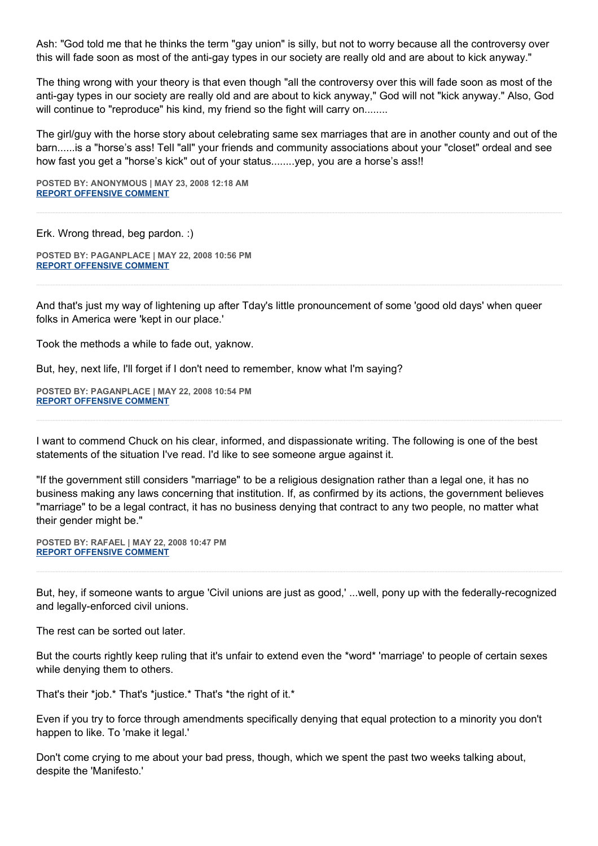Ash: "God told me that he thinks the term "gay union" is silly, but not to worry because all the controversy over this will fade soon as most of the anti-gay types in our society are really old and are about to kick anyway."

The thing wrong with your theory is that even though "all the controversy over this will fade soon as most of the anti-gay types in our society are really old and are about to kick anyway," God will not "kick anyway." Also, God will continue to "reproduce" his kind, my friend so the fight will carry on........

The girl/guy with the horse story about celebrating same sex marriages that are in another county and out of the barn......is a "horse's ass! Tell "all" your friends and community associations about your "closet" ordeal and see how fast you get a "horse's kick" out of your status........yep, you are a horse's ass!!

**POSTED BY: ANONYMOUS | MAY 23, 2008 12:18 AM [REPORT OFFENSIVE COMMENT](mailto:blogs@washingtonpost.com?subject=On%20Faith%20Panelists%20Blog%20%20%7C%20%20Anonymous%20%20%7C%20%20Marriage%20Is%20More%20Sacred%20Than%20Equality%20%20%7C%20%203571495&body=%0D%0D%0D%0D%0D================%0D?__mode=view%26_type=comment%26id=3571495%26blog_id=618)**

Erk. Wrong thread, beg pardon. :)

**POSTED BY: PAGANPLACE | MAY 22, 2008 10:56 PM [REPORT OFFENSIVE COMMENT](mailto:blogs@washingtonpost.com?subject=On%20Faith%20Panelists%20Blog%20%20%7C%20%20Paganplace%20%20%7C%20%20Marriage%20Is%20More%20Sacred%20Than%20Equality%20%20%7C%20%203570948&body=%0D%0D%0D%0D%0D================%0D?__mode=view%26_type=comment%26id=3570948%26blog_id=618)**

And that's just my way of lightening up after Tday's little pronouncement of some 'good old days' when queer folks in America were 'kept in our place.'

Took the methods a while to fade out, yaknow.

But, hey, next life, I'll forget if I don't need to remember, know what I'm saying?

**POSTED BY: PAGANPLACE | MAY 22, 2008 10:54 PM [REPORT OFFENSIVE COMMENT](mailto:blogs@washingtonpost.com?subject=On%20Faith%20Panelists%20Blog%20%20%7C%20%20Paganplace%20%20%7C%20%20Marriage%20Is%20More%20Sacred%20Than%20Equality%20%20%7C%20%203570924&body=%0D%0D%0D%0D%0D================%0D?__mode=view%26_type=comment%26id=3570924%26blog_id=618)**

I want to commend Chuck on his clear, informed, and dispassionate writing. The following is one of the best statements of the situation I've read. I'd like to see someone argue against it.

"If the government still considers "marriage" to be a religious designation rather than a legal one, it has no business making any laws concerning that institution. If, as confirmed by its actions, the government believes "marriage" to be a legal contract, it has no business denying that contract to any two people, no matter what their gender might be."

**POSTED BY: RAFAEL | MAY 22, 2008 10:47 PM [REPORT OFFENSIVE COMMENT](mailto:blogs@washingtonpost.com?subject=On%20Faith%20Panelists%20Blog%20%20%7C%20%20rafael%20%20%7C%20%20Marriage%20Is%20More%20Sacred%20Than%20Equality%20%20%7C%20%203570866&body=%0D%0D%0D%0D%0D================%0D?__mode=view%26_type=comment%26id=3570866%26blog_id=618)**

But, hey, if someone wants to argue 'Civil unions are just as good,' ...well, pony up with the federally-recognized and legally-enforced civil unions.

The rest can be sorted out later.

But the courts rightly keep ruling that it's unfair to extend even the \*word\* 'marriage' to people of certain sexes while denying them to others.

That's their \*job.\* That's \*justice.\* That's \*the right of it.\*

Even if you try to force through amendments specifically denying that equal protection to a minority you don't happen to like. To 'make it legal.'

Don't come crying to me about your bad press, though, which we spent the past two weeks talking about, despite the 'Manifesto.'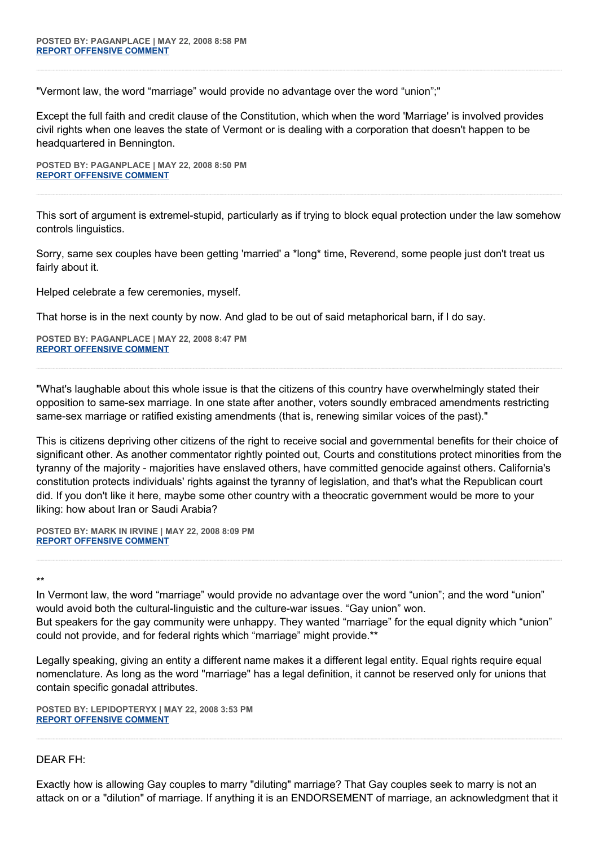"Vermont law, the word "marriage" would provide no advantage over the word "union";"

Except the full faith and credit clause of the Constitution, which when the word 'Marriage' is involved provides civil rights when one leaves the state of Vermont or is dealing with a corporation that doesn't happen to be headquartered in Bennington.

**POSTED BY: PAGANPLACE | MAY 22, 2008 8:50 PM [REPORT OFFENSIVE COMMENT](mailto:blogs@washingtonpost.com?subject=On%20Faith%20Panelists%20Blog%20%20%7C%20%20Paganplace%20%20%7C%20%20Marriage%20Is%20More%20Sacred%20Than%20Equality%20%20%7C%20%203570097&body=%0D%0D%0D%0D%0D================%0D?__mode=view%26_type=comment%26id=3570097%26blog_id=618)**

This sort of argument is extremel-stupid, particularly as if trying to block equal protection under the law somehow controls linguistics.

Sorry, same sex couples have been getting 'married' a \*long\* time, Reverend, some people just don't treat us fairly about it.

Helped celebrate a few ceremonies, myself.

That horse is in the next county by now. And glad to be out of said metaphorical barn, if I do say.

**POSTED BY: PAGANPLACE | MAY 22, 2008 8:47 PM [REPORT OFFENSIVE COMMENT](mailto:blogs@washingtonpost.com?subject=On%20Faith%20Panelists%20Blog%20%20%7C%20%20Paganplace%20%20%7C%20%20Marriage%20Is%20More%20Sacred%20Than%20Equality%20%20%7C%20%203570072&body=%0D%0D%0D%0D%0D================%0D?__mode=view%26_type=comment%26id=3570072%26blog_id=618)**

"What's laughable about this whole issue is that the citizens of this country have overwhelmingly stated their opposition to same-sex marriage. In one state after another, voters soundly embraced amendments restricting same-sex marriage or ratified existing amendments (that is, renewing similar voices of the past)."

This is citizens depriving other citizens of the right to receive social and governmental benefits for their choice of significant other. As another commentator rightly pointed out, Courts and constitutions protect minorities from the tyranny of the majority - majorities have enslaved others, have committed genocide against others. California's constitution protects individuals' rights against the tyranny of legislation, and that's what the Republican court did. If you don't like it here, maybe some other country with a theocratic government would be more to your liking: how about Iran or Saudi Arabia?

**POSTED BY: MARK IN IRVINE | MAY 22, 2008 8:09 PM [REPORT OFFENSIVE COMMENT](mailto:blogs@washingtonpost.com?subject=On%20Faith%20Panelists%20Blog%20%20%7C%20%20Mark%20In%20Irvine%20%20%7C%20%20Marriage%20Is%20More%20Sacred%20Than%20Equality%20%20%7C%20%203569794&body=%0D%0D%0D%0D%0D================%0D?__mode=view%26_type=comment%26id=3569794%26blog_id=618)**

\*\*

In Vermont law, the word "marriage" would provide no advantage over the word "union"; and the word "union" would avoid both the cultural-linguistic and the culture-war issues. "Gay union" won. But speakers for the gay community were unhappy. They wanted "marriage" for the equal dignity which "union" could not provide, and for federal rights which "marriage" might provide.\*\*

Legally speaking, giving an entity a different name makes it a different legal entity. Equal rights require equal nomenclature. As long as the word "marriage" has a legal definition, it cannot be reserved only for unions that contain specific gonadal attributes.

**POSTED BY: LEPIDOPTERYX | MAY 22, 2008 3:53 PM [REPORT OFFENSIVE COMMENT](mailto:blogs@washingtonpost.com?subject=On%20Faith%20Panelists%20Blog%20%20%7C%20%20Lepidopteryx%20%20%7C%20%20Marriage%20Is%20More%20Sacred%20Than%20Equality%20%20%7C%20%203567693&body=%0D%0D%0D%0D%0D================%0D?__mode=view%26_type=comment%26id=3567693%26blog_id=618)**

## DEAR FH:

Exactly how is allowing Gay couples to marry "diluting" marriage? That Gay couples seek to marry is not an attack on or a "dilution" of marriage. If anything it is an ENDORSEMENT of marriage, an acknowledgment that it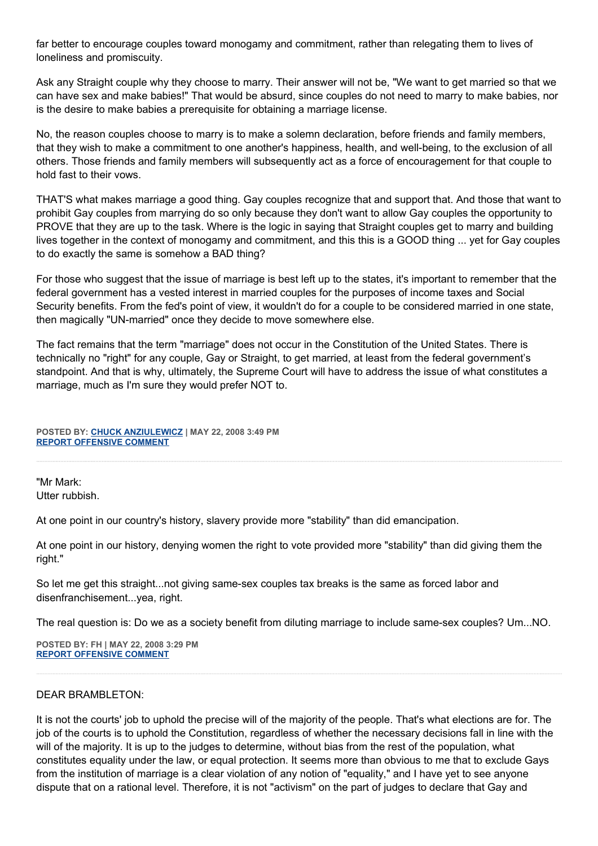far better to encourage couples toward monogamy and commitment, rather than relegating them to lives of loneliness and promiscuity.

Ask any Straight couple why they choose to marry. Their answer will not be, "We want to get married so that we can have sex and make babies!" That would be absurd, since couples do not need to marry to make babies, nor is the desire to make babies a prerequisite for obtaining a marriage license.

No, the reason couples choose to marry is to make a solemn declaration, before friends and family members, that they wish to make a commitment to one another's happiness, health, and well-being, to the exclusion of all others. Those friends and family members will subsequently act as a force of encouragement for that couple to hold fast to their vows.

THAT'S what makes marriage a good thing. Gay couples recognize that and support that. And those that want to prohibit Gay couples from marrying do so only because they don't want to allow Gay couples the opportunity to PROVE that they are up to the task. Where is the logic in saying that Straight couples get to marry and building lives together in the context of monogamy and commitment, and this this is a GOOD thing ... yet for Gay couples to do exactly the same is somehow a BAD thing?

For those who suggest that the issue of marriage is best left up to the states, it's important to remember that the federal government has a vested interest in married couples for the purposes of income taxes and Social Security benefits. From the fed's point of view, it wouldn't do for a couple to be considered married in one state, then magically "UN-married" once they decide to move somewhere else.

The fact remains that the term "marriage" does not occur in the Constitution of the United States. There is technically no "right" for any couple, Gay or Straight, to get married, at least from the federal government's standpoint. And that is why, ultimately, the Supreme Court will have to address the issue of what constitutes a marriage, much as I'm sure they would prefer NOT to.

**POSTED BY: [CHUCK ANZIULEWICZ](http://anziulewicz.livejournal.com/) | MAY 22, 2008 3:49 PM [REPORT OFFENSIVE COMMENT](mailto:blogs@washingtonpost.com?subject=On%20Faith%20Panelists%20Blog%20%20%7C%20%20Chuck%20Anziulewicz%20%20%7C%20%20Marriage%20Is%20More%20Sacred%20Than%20Equality%20%20%7C%20%203567669&body=%0D%0D%0D%0D%0D================%0D?__mode=view%26_type=comment%26id=3567669%26blog_id=618)**

"Mr Mark: Utter rubbish.

At one point in our country's history, slavery provide more "stability" than did emancipation.

At one point in our history, denying women the right to vote provided more "stability" than did giving them the right."

So let me get this straight...not giving same-sex couples tax breaks is the same as forced labor and disenfranchisement...yea, right.

The real question is: Do we as a society benefit from diluting marriage to include same-sex couples? Um...NO.

**POSTED BY: FH | MAY 22, 2008 3:29 PM [REPORT OFFENSIVE COMMENT](mailto:blogs@washingtonpost.com?subject=On%20Faith%20Panelists%20Blog%20%20%7C%20%20FH%20%20%7C%20%20Marriage%20Is%20More%20Sacred%20Than%20Equality%20%20%7C%20%203567464&body=%0D%0D%0D%0D%0D================%0D?__mode=view%26_type=comment%26id=3567464%26blog_id=618)**

## DEAR BRAMBLETON:

It is not the courts' job to uphold the precise will of the majority of the people. That's what elections are for. The job of the courts is to uphold the Constitution, regardless of whether the necessary decisions fall in line with the will of the majority. It is up to the judges to determine, without bias from the rest of the population, what constitutes equality under the law, or equal protection. It seems more than obvious to me that to exclude Gays from the institution of marriage is a clear violation of any notion of "equality," and I have yet to see anyone dispute that on a rational level. Therefore, it is not "activism" on the part of judges to declare that Gay and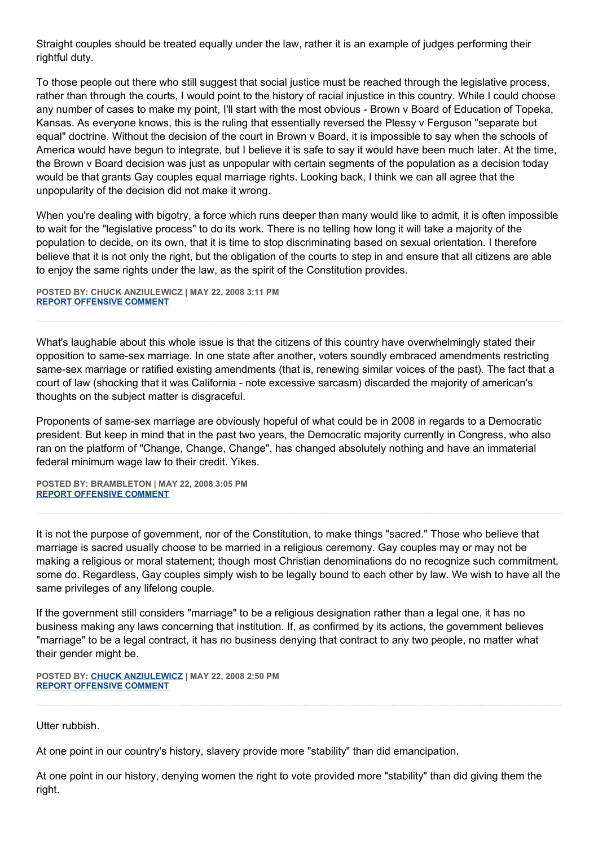Straight couples should be treated equally under the law, rather it is an example of judges performing their rightful duty.

To those people out there who still suggest that social justice must be reached through the legislative process, rather than through the courts, I would point to the history of racial injustice in this country. While I could choose any number of cases to make my point, I'll start with the most obvious - Brown v Board of Education of Topeka, Kansas. As everyone knows, this is the ruling that essentially reversed the Plessy v Ferguson "separate but equal" doctrine. Without the decision of the court in Brown v Board, it is impossible to say when the schools of America would have begun to integrate, but I believe it is safe to say it would have been much later. At the time, the Brown v Board decision was just as unpopular with certain segments of the population as a decision today would be that grants Gay couples equal marriage rights. Looking back, I think we can all agree that the unpopularity of the decision did not make it wrong.

When you're dealing with bigotry, a force which runs deeper than many would like to admit, it is often impossible to wait for the "legislative process" to do its work. There is no telling how long it will take a majority of the population to decide, on its own, that it is time to stop discriminating based on sexual orientation. I therefore believe that it is not only the right, but the obligation of the courts to step in and ensure that all citizens are able to enjoy the same rights under the law, as the spirit of the Constitution provides.

**POSTED BY: CHUCK ANZIULEWICZ | MAY 22, 2008 3:11 PM [REPORT OFFENSIVE COMMENT](mailto:blogs@washingtonpost.com?subject=On%20Faith%20Panelists%20Blog%20%20%7C%20%20Chuck%20Anziulewicz%20%20%7C%20%20Marriage%20Is%20More%20Sacred%20Than%20Equality%20%20%7C%20%203567331&body=%0D%0D%0D%0D%0D================%0D?__mode=view%26_type=comment%26id=3567331%26blog_id=618)**

What's laughable about this whole issue is that the citizens of this country have overwhelmingly stated their opposition to same-sex marriage. In one state after another, voters soundly embraced amendments restricting same-sex marriage or ratified existing amendments (that is, renewing similar voices of the past). The fact that a court of law (shocking that it was California - note excessive sarcasm) discarded the majority of american's thoughts on the subject matter is disgraceful.

Proponents of same-sex marriage are obviously hopeful of what could be in 2008 in regards to a Democratic president. But keep in mind that in the past two years, the Democratic majority currently in Congress, who also ran on the platform of "Change, Change, Change", has changed absolutely nothing and have an immaterial federal minimum wage law to their credit. Yikes.

**POSTED BY: BRAMBLETON | MAY 22, 2008 3:05 PM [REPORT OFFENSIVE COMMENT](mailto:blogs@washingtonpost.com?subject=On%20Faith%20Panelists%20Blog%20%20%7C%20%20Brambleton%20%20%7C%20%20Marriage%20Is%20More%20Sacred%20Than%20Equality%20%20%7C%20%203567298&body=%0D%0D%0D%0D%0D================%0D?__mode=view%26_type=comment%26id=3567298%26blog_id=618)**

It is not the purpose of government, nor of the Constitution, to make things "sacred." Those who believe that marriage is sacred usually choose to be married in a religious ceremony. Gay couples may or may not be making a religious or moral statement; though most Christian denominations do no recognize such commitment, some do. Regardless, Gay couples simply wish to be legally bound to each other by law. We wish to have all the same privileges of any lifelong couple.

If the government still considers "marriage" to be a religious designation rather than a legal one, it has no business making any laws concerning that institution. If, as confirmed by its actions, the government believes "marriage" to be a legal contract, it has no business denying that contract to any two people, no matter what their gender might be.

**POSTED BY: [CHUCK ANZIULEWICZ](http://anziulewicz.livejournal.com/) | MAY 22, 2008 2:50 PM [REPORT OFFENSIVE COMMENT](mailto:blogs@washingtonpost.com?subject=On%20Faith%20Panelists%20Blog%20%20%7C%20%20Chuck%20Anziulewicz%20%20%7C%20%20Marriage%20Is%20More%20Sacred%20Than%20Equality%20%20%7C%20%203567167&body=%0D%0D%0D%0D%0D================%0D?__mode=view%26_type=comment%26id=3567167%26blog_id=618)**

Utter rubbish.

At one point in our country's history, slavery provide more "stability" than did emancipation.

At one point in our history, denying women the right to vote provided more "stability" than did giving them the right.